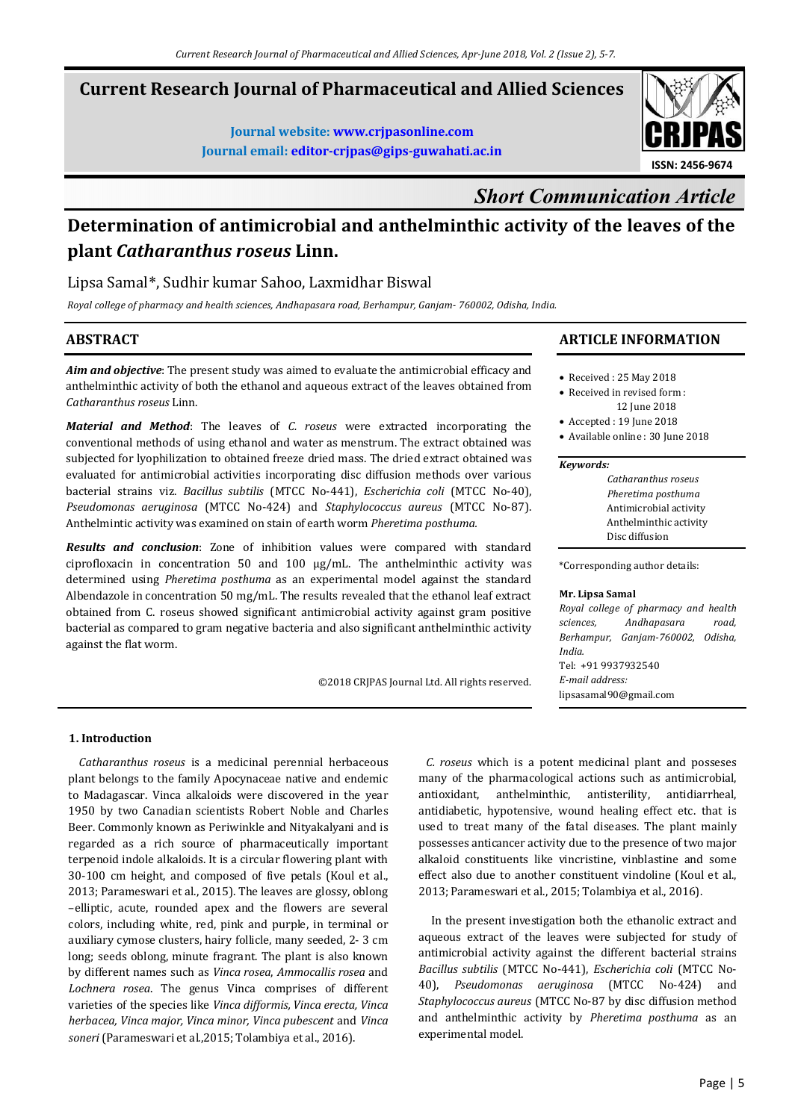## **Current Research Journal of Pharmaceutical and Allied Sciences**

**Journal website: www.crjpasonline.com Journal email: editor-crjpas@gips-guwahati.ac.in** 



# *Short Communication Article*

## **Determination of antimicrobial and anthelminthic activity of the leaves of the plant** *Catharanthus roseus* **Linn.**

## Lipsa Samal\*, Sudhir kumar Sahoo, Laxmidhar Biswal

*Royal college of pharmacy and health sciences, Andhapasara road, Berhampur, Ganjam- 760002, Odisha, India.* 

## **ABSTRACT**

*Aim and objective*: The present study was aimed to evaluate the antimicrobial efficacy and anthelminthic activity of both the ethanol and aqueous extract of the leaves obtained from *Catharanthus roseus* Linn.

*Material and Method*: The leaves of *C. roseus* were extracted incorporating the conventional methods of using ethanol and water as menstrum. The extract obtained was subjected for lyophilization to obtained freeze dried mass. The dried extract obtained was evaluated for antimicrobial activities incorporating disc diffusion methods over various bacterial strains viz. *Bacillus subtilis* (MTCC No-441), *Escherichia coli* (MTCC No-40), *Pseudomonas aeruginosa* (MTCC No-424) and *Staphylococcus aureus* (MTCC No-87). Anthelmintic activity was examined on stain of earth worm *Pheretima posthuma.*

*Results and conclusion*: Zone of inhibition values were compared with standard ciprofloxacin in concentration 50 and 100  $\mu$ g/mL. The anthelminthic activity was determined using *Pheretima posthuma* as an experimental model against the standard Albendazole in concentration 50 mg/mL. The results revealed that the ethanol leaf extract obtained from C. roseus showed significant antimicrobial activity against gram positive bacterial as compared to gram negative bacteria and also significant anthelminthic activity against the flat worm.

©2018 CRJPAS Journal Ltd. All rights reserved.

### **ARTICLE INFORMATION**

#### • Received : 25 May 2018

- Received in revised form : 12 June 2018
- Accepted : 19 June 2018
- Available online : 30 June 2018

#### *Keywords:*

| Catharanthus roseus    |
|------------------------|
| Pheretima posthuma     |
| Antimicrobial activity |
| Anthelminthic activity |
| Disc diffusion         |

\*Corresponding author details:

#### **Mr. Lipsa Samal**

*Royal college of pharmacy and health sciences, Andhapasara road, Berhampur, Ganjam-760002, Odisha, India.*  Tel: +91 9937932540 *E-mail address:* lipsasamal90@gmail.com

#### **1. Introduction**

 *Catharanthus roseus* is a medicinal perennial herbaceous plant belongs to the family Apocynaceae native and endemic to Madagascar. Vinca alkaloids were discovered in the year 1950 by two Canadian scientists Robert Noble and Charles Beer. Commonly known as Periwinkle and Nityakalyani and is regarded as a rich source of pharmaceutically important terpenoid indole alkaloids. It is a circular flowering plant with 30-100 cm height, and composed of five petals (Koul et al., 2013; Parameswari et al., 2015). The leaves are glossy, oblong –elliptic, acute, rounded apex and the flowers are several colors, including white, red, pink and purple, in terminal or auxiliary cymose clusters, hairy follicle, many seeded, 2- 3 cm long; seeds oblong, minute fragrant. The plant is also known by different names such as *Vinca rosea*, *Ammocallis rosea* and *Lochnera rosea*. The genus Vinca comprises of different varieties of the species like *Vinca difformis, Vinca erecta, Vinca herbacea, Vinca major, Vinca minor, Vinca pubescent* and *Vinca soneri* (Parameswari et al.,2015; Tolambiya et al., 2016).

 *C. roseus* which is a potent medicinal plant and posseses many of the pharmacological actions such as antimicrobial, antioxidant, anthelminthic, antisterility, antidiarrheal, antidiabetic, hypotensive, wound healing effect etc. that is used to treat many of the fatal diseases. The plant mainly possesses anticancer activity due to the presence of two major alkaloid constituents like vincristine, vinblastine and some effect also due to another constituent vindoline (Koul et al., 2013; Parameswari et al., 2015; Tolambiya et al., 2016).

 In the present investigation both the ethanolic extract and aqueous extract of the leaves were subjected for study of antimicrobial activity against the different bacterial strains *Bacillus subtilis* (MTCC No-441), *Escherichia coli* (MTCC No-40), *Pseudomonas aeruginosa* (MTCC No-424) and *Staphylococcus aureus* (MTCC No-87 by disc diffusion method and anthelminthic activity by *Pheretima posthuma* as an experimental model.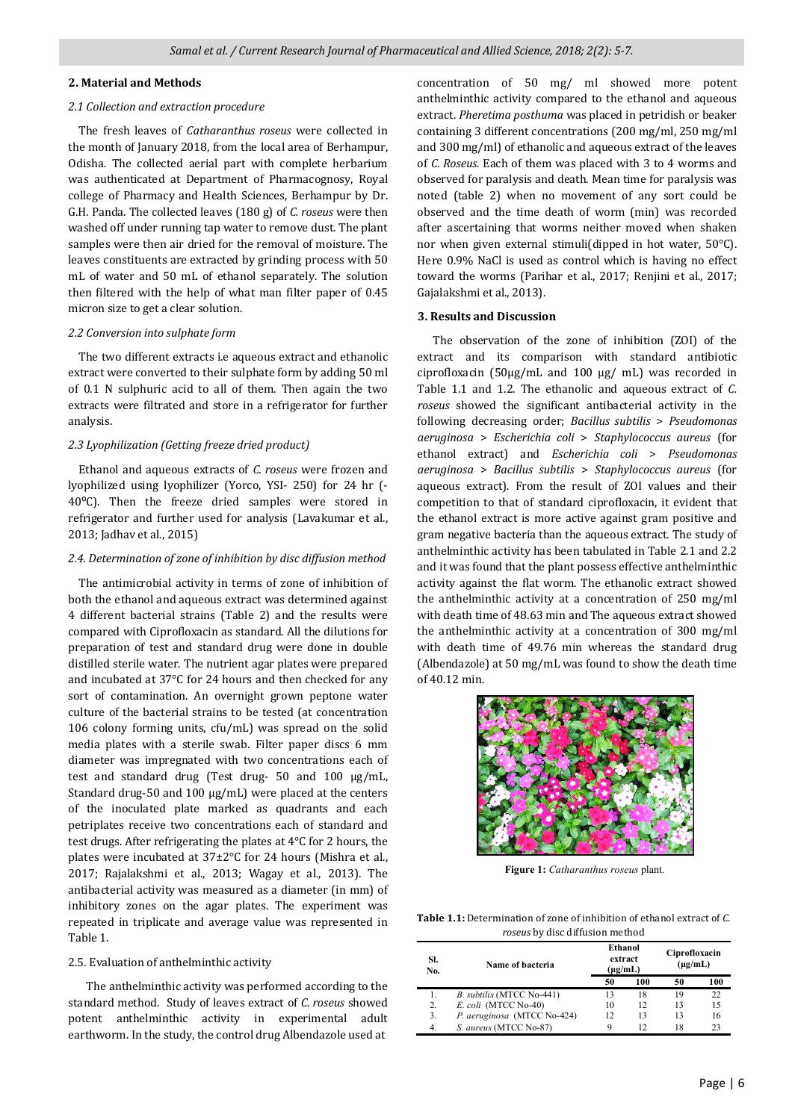#### **2. Material and Methods**

### *2.1 Collection and extraction procedure*

 The fresh leaves of *Catharanthus roseus* were collected in the month of January 2018, from the local area of Berhampur, Odisha. The collected aerial part with complete herbarium was authenticated at Department of Pharmacognosy, Royal college of Pharmacy and Health Sciences, Berhampur by Dr. G.H. Panda. The collected leaves (180 g) of *C. roseus* were then washed off under running tap water to remove dust. The plant samples were then air dried for the removal of moisture. The leaves constituents are extracted by grinding process with 50 mL of water and 50 mL of ethanol separately. The solution then filtered with the help of what man filter paper of 0.45 micron size to get a clear solution.

#### *2.2 Conversion into sulphate form*

 The two different extracts i.e aqueous extract and ethanolic extract were converted to their sulphate form by adding 50 ml of 0.1 N sulphuric acid to all of them. Then again the two extracts were filtrated and store in a refrigerator for further analysis.

#### *2.3 Lyophilization (Getting freeze dried product)*

 Ethanol and aqueous extracts of *C. roseus* were frozen and lyophilized using lyophilizer (Yorco, YSI- 250) for 24 hr (- 40⁰C). Then the freeze dried samples were stored in refrigerator and further used for analysis (Lavakumar et al., 2013; Jadhav et al., 2015)

#### *2.4. Determination of zone of inhibition by disc diffusion method*

 The antimicrobial activity in terms of zone of inhibition of both the ethanol and aqueous extract was determined against 4 different bacterial strains (Table 2) and the results were compared with Ciprofloxacin as standard. All the dilutions for preparation of test and standard drug were done in double distilled sterile water. The nutrient agar plates were prepared and incubated at 37°C for 24 hours and then checked for any sort of contamination. An overnight grown peptone water culture of the bacterial strains to be tested (at concentration 106 colony forming units, cfu/mL) was spread on the solid media plates with a sterile swab. Filter paper discs 6 mm diameter was impregnated with two concentrations each of test and standard drug (Test drug- 50 and 100 µg/mL, Standard drug-50 and 100 µg/mL) were placed at the centers of the inoculated plate marked as quadrants and each petriplates receive two concentrations each of standard and test drugs. After refrigerating the plates at 4°C for 2 hours, the plates were incubated at 37±2°C for 24 hours (Mishra et al., 2017; Rajalakshmi et al., 2013; Wagay et al., 2013). The antibacterial activity was measured as a diameter (in mm) of inhibitory zones on the agar plates. The experiment was repeated in triplicate and average value was represented in Table 1.

#### 2.5. Evaluation of anthelminthic activity

 The anthelminthic activity was performed according to the standard method. Study of leaves extract of *C. roseus* showed potent anthelminthic activity in experimental adult earthworm. In the study, the control drug Albendazole used at

concentration of 50 mg/ ml showed more potent anthelminthic activity compared to the ethanol and aqueous extract. *Pheretima posthuma* was placed in petridish or beaker containing 3 different concentrations (200 mg/ml, 250 mg/ml and 300 mg/ml) of ethanolic and aqueous extract of the leaves of *C. Roseus*. Each of them was placed with 3 to 4 worms and observed for paralysis and death. Mean time for paralysis was noted (table 2) when no movement of any sort could be observed and the time death of worm (min) was recorded after ascertaining that worms neither moved when shaken nor when given external stimuli(dipped in hot water, 50°C). Here 0.9% NaCl is used as control which is having no effect toward the worms (Parihar et al., 2017; Renjini et al., 2017; Gajalakshmi et al., 2013).

#### **3. Results and Discussion**

 The observation of the zone of inhibition (ZOI) of the extract and its comparison with standard antibiotic ciprofloxacin (50µg/mL and 100 µg/ mL) was recorded in Table 1.1 and 1.2. The ethanolic and aqueous extract of *C. roseus* showed the significant antibacterial activity in the following decreasing order; *Bacillus subtilis* > *Pseudomonas aeruginosa* > *Escherichia coli* > *Staphylococcus aureus* (for ethanol extract) and *Escherichia coli* > *Pseudomonas aeruginosa* > *Bacillus subtilis* > *Staphylococcus aureus* (for aqueous extract). From the result of ZOI values and their competition to that of standard ciprofloxacin, it evident that the ethanol extract is more active against gram positive and gram negative bacteria than the aqueous extract. The study of anthelminthic activity has been tabulated in Table 2.1 and 2.2 and it was found that the plant possess effective anthelminthic activity against the flat worm. The ethanolic extract showed the anthelminthic activity at a concentration of 250 mg/ml with death time of 48.63 min and The aqueous extract showed the anthelminthic activity at a concentration of 300 mg/ml with death time of 49.76 min whereas the standard drug (Albendazole) at 50 mg/mL was found to show the death time of 40.12 min.



**Figure 1:** *Catharanthus roseus* plant.

**Table 1.1:** Determination of zone of inhibition of ethanol extract of *C. roseus* by disc diffusion method

| SI.<br>No. | Name of bacteria            | Ethanol<br>extract<br>$(\mu g/mL)$ |     | Ciprofloxacin<br>$(\mu g/mL)$ |     |
|------------|-----------------------------|------------------------------------|-----|-------------------------------|-----|
|            |                             | 50                                 | 100 | 50                            | 100 |
|            | B. subtilis (MTCC No-441)   | 13                                 | 18  | 19                            | 22  |
| 2.         | E. coli (MTCC No-40)        | 10                                 | 12  | 13                            | 15  |
| 3.         | P. aeruginosa (MTCC No-424) | 12                                 | 13  | 13                            | 16  |
| 4.         | S. aureus (MTCC No-87)      | 9                                  | 12  | 18                            | 23  |